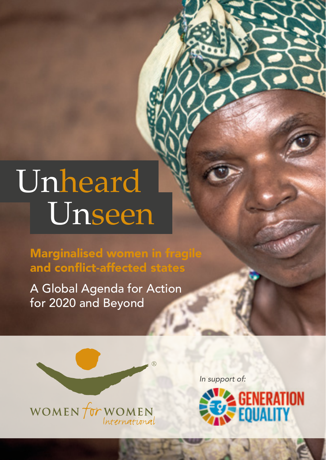## Unheard Unseen

Marginalised women in fragile and conflict-affected states

A Global Agenda for Action for 2020 and Beyond



*In support of:* 



C.Mess.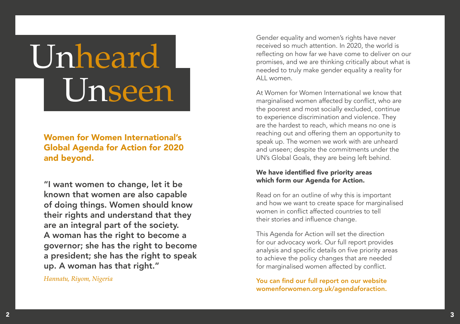# Unheard Unseen

## Women for Women International's Global Agenda for Action for 2020 and beyond.

"I want women to change, let it be known that women are also capable of doing things. Women should know their rights and understand that they are an integral part of the society. A woman has the right to become a governor; she has the right to become a president; she has the right to speak up. A woman has that right."

*Hannatu, Riyom, Nigeria*

Gender equality and women's rights have never received so much attention. In 2020, the world is reflecting on how far we have come to deliver on our promises, and we are thinking critically about what is needed to truly make gender equality a reality for ALL women

At Women for Women International we know that marginalised women affected by conflict, who are the poorest and most socially excluded, continue to experience discrimination and violence. They are the hardest to reach, which means no one is reaching out and offering them an opportunity to speak up. The women we work with are unheard and unseen; despite the commitments under the UN's Global Goals, they are being left behind.

### We have identified five priority areas which form our Agenda for Action.

Read on for an outline of why this is important and how we want to create space for marginalised women in conflict affected countries to tell their stories and influence change.

This Agenda for Action will set the direction for our advocacy work. Our full report provides analysis and specific details on five priority areas to achieve the policy changes that are needed for marginalised women affected by conflict.

You can find our full report on our website [womenforwomen.org.uk/agendaforaction](http://womenforwomen.org.uk/agendaforaction).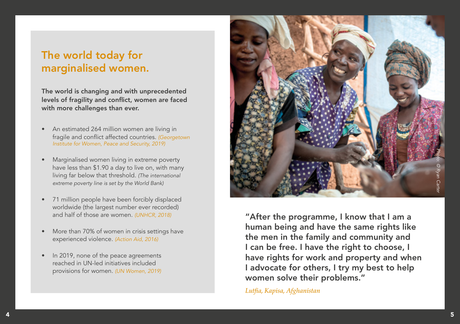## The world today for marginalised women.

The world is changing and with unprecedented levels of fragility and conflict, women are faced with more challenges than ever.

- An estimated 264 million women are living in fragile and conflict affected countries. *[\(Georgetown](https://giwps.georgetown.edu/womens-work-in-fragile-conflict-affected-countries/)  [Institute for Women, Peace and Security, 2019\)](https://giwps.georgetown.edu/womens-work-in-fragile-conflict-affected-countries/)*
- Marginalised women living in extreme poverty have less than \$1.90 a day to live on, with many living far below that threshold. *(The international extreme poverty line is set by the World Bank)*
- 71 million people have been forcibly displaced worldwide (the largest number ever recorded) and half of those are women. *[\(UNHCR, 2018\)](https://www.unhcr.org/globaltrends2018/)*
- More than 70% of women in crisis settings have experienced violence. *[\(Action Aid, 2016\)](https://www.actionaid.org.uk/publications/on-the-frontline-catalysing-womens-leadership-in-humanitarian-action)*
- In 2019, none of the peace agreements reached in UN-led initiatives included provisions for women. *[\(UN Women, 2019\)](https://www.unwomen.org/en/news/stories/2019/10/speech-ed-phumzile-open-debate-on-women-peace-and-security)*



"After the programme, I know that I am a human being and have the same rights like the men in the family and community and I can be free. I have the right to choose, I have rights for work and property and when I advocate for others, I try my best to help women solve their problems."

*Lutfia, Kapisa, Afghanistan*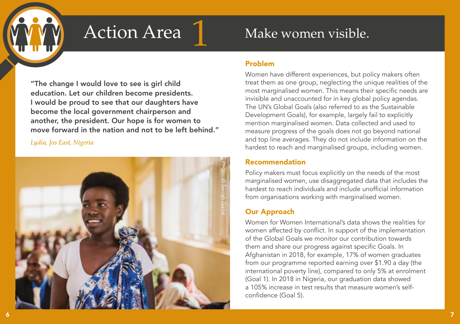"The change I would love to see is girl child education. Let our children become presidents. I would be proud to see that our daughters have become the local government chairperson and another, the president. Our hope is for women to move forward in the nation and not to be left behind."

*Lydia, Jos East, Nigeria* 



## Action Area 1 Make women visible.

## Problem

Women have different experiences, but policy makers often treat them as one group, neglecting the unique realities of the most marginalised women. This means their specific needs are invisible and unaccounted for in key global policy agendas. The UN's Global Goals (also referred to as the Sustainable Development Goals), for example, largely fail to explicitly mention marginalised women. Data collected and used to measure progress of the goals does not go beyond national and top line averages. They do not include information on the hardest to reach and marginalised groups, including women.

## Recommendation

Policy makers must focus explicitly on the needs of the most marginalised women, use disaggregated data that includes the hardest to reach individuals and include unofficial information from organisations working with marginalised women.

## Our Approach

Women for Women International's data shows the realities for women affected by conflict. In support of the implementation of the Global Goals we monitor our contribution towards them and share our progress against specific Goals. In Afghanistan in 2018, for example, 17% of women graduates from our programme reported earning over \$1.90 a day (the international poverty line), compared to only 5% at enrolment (Goal 1). In 2018 in Nigeria, our graduation data showed a 105% increase in test results that measure women's selfconfidence (Goal 5).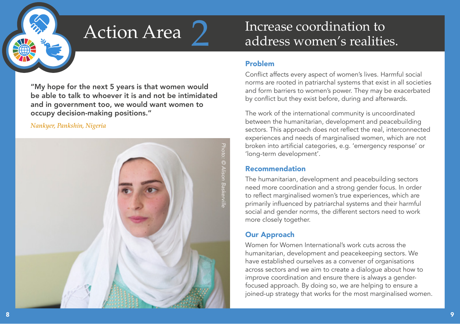

"My hope for the next 5 years is that women would be able to talk to whoever it is and not be intimidated and in government too, we would want women to occupy decision-making positions."

### *Nankyer, Pankshin, Nigeria*



## Action Area 2 Increase coordination to address women's realities.

## Problem

Conflict affects every aspect of women's lives. Harmful social norms are rooted in patriarchal systems that exist in all societies and form barriers to women's power. They may be exacerbated by conflict but they exist before, during and afterwards.

The work of the international community is uncoordinated between the humanitarian, development and peacebuilding sectors. This approach does not reflect the real, interconnected experiences and needs of marginalised women, which are not broken into artificial categories, e.g. 'emergency response' or 'long-term development'.

## Recommendation

The humanitarian, development and peacebuilding sectors need more coordination and a strong gender focus. In order to reflect marginalised women's true experiences, which are primarily influenced by patriarchal systems and their harmful social and gender norms, the different sectors need to work more closely together.

## Our Approach

Women for Women International's work cuts across the humanitarian, development and peacekeeping sectors. We have established ourselves as a convener of organisations across sectors and we aim to create a dialogue about how to improve coordination and ensure there is always a genderfocused approach. By doing so, we are helping to ensure a joined-up strategy that works for the most marginalised women.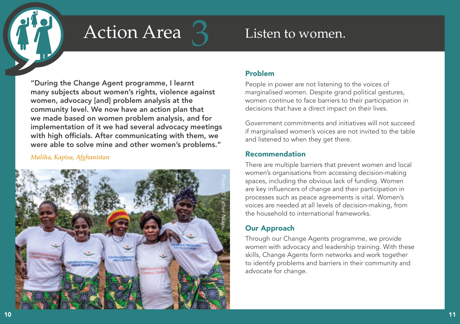# Action Area 3 Listen to women.

"During the Change Agent programme, I learnt many subjects about women's rights, violence against women, advocacy [and] problem analysis at the community level. We now have an action plan that we made based on women problem analysis, and for implementation of it we had several advocacy meetings with high officials. After communicating with them, we were able to solve mine and other women's problems."

### *Maliha, Kapisa, Afghanistan*



## Problem

People in power are not listening to the voices of marginalised women. Despite grand political gestures, women continue to face barriers to their participation in decisions that have a direct impact on their lives.

Government commitments and initiatives will not succeed if marginalised women's voices are not invited to the table and listened to when they get there.

## Recommendation

There are multiple barriers that prevent women and local women's organisations from accessing decision-making spaces, including the obvious lack of funding. Women are key influencers of change and their participation in processes such as peace agreements is vital. Women's voices are needed at all levels of decision-making, from the household to international frameworks.

## Our Approach

Through our Change Agents programme, we provide women with advocacy and leadership training. With these skills, Change Agents form networks and work together to identify problems and barriers in their community and advocate for change.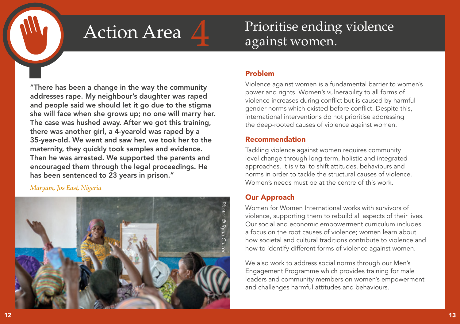## Action Area  $\Lambda$  Prioritise ending violence against women.

"There has been a change in the way the community addresses rape. My neighbour's daughter was raped and people said we should let it go due to the stigma she will face when she grows up; no one will marry her. The case was hushed away. After we got this training, there was another girl, a 4-yearold was raped by a 35-year-old. We went and saw her, we took her to the maternity, they quickly took samples and evidence. Then he was arrested. We supported the parents and encouraged them through the legal proceedings. He has been sentenced to 23 years in prison."

### *Maryam, Jos East, Nigeria*



## Problem

Violence against women is a fundamental barrier to women's power and rights. Women's vulnerability to all forms of violence increases during conflict but is caused by harmful gender norms which existed before conflict. Despite this, international interventions do not prioritise addressing the deep-rooted causes of violence against women.

## Recommendation

Tackling violence against women requires community level change through long-term, holistic and integrated approaches. It is vital to shift attitudes, behaviours and norms in order to tackle the structural causes of violence. Women's needs must be at the centre of this work.

## Our Approach

Women for Women International works with survivors of violence, supporting them to rebuild all aspects of their lives. Our social and economic empowerment curriculum includes a focus on the root causes of violence; women learn about how societal and cultural traditions contribute to violence and how to identify different forms of violence against women.

We also work to address social norms through our Men's Engagement Programme which provides training for male leaders and community members on women's empowerment and challenges harmful attitudes and behaviours.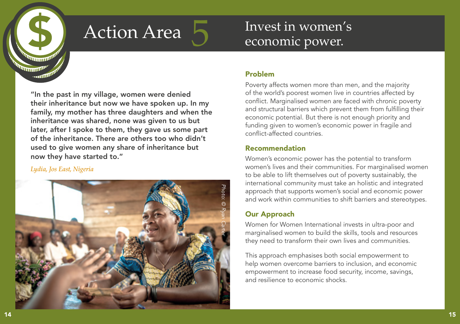

## $Action Area$  Invest in women's economic power.

"In the past in my village, women were denied their inheritance but now we have spoken up. In my family, my mother has three daughters and when the inheritance was shared, none was given to us but later, after I spoke to them, they gave us some part of the inheritance. There are others too who didn't used to give women any share of inheritance but now they have started to." AA4 AA5

### *Lydia, Jos East, Nigeria*



## Problem

Poverty affects women more than men, and the majority of the world's poorest women live in countries affected by conflict. Marginalised women are faced with chronic poverty and structural barriers which prevent them from fulfilling their economic potential. But there is not enough priority and funding given to women's economic power in fragile and conflict-affected countries.

## Recommendation

Women's economic power has the potential to transform women's lives and their communities. For marginalised women to be able to lift themselves out of poverty sustainably, the international community must take an holistic and integrated approach that supports women's social and economic power and work within communities to shift barriers and stereotypes.

## Our Approach

Women for Women International invests in ultra-poor and marginalised women to build the skills, tools and resources they need to transform their own lives and communities.

This approach emphasises both social empowerment to help women overcome barriers to inclusion, and economic empowerment to increase food security, income, savings, and resilience to economic shocks.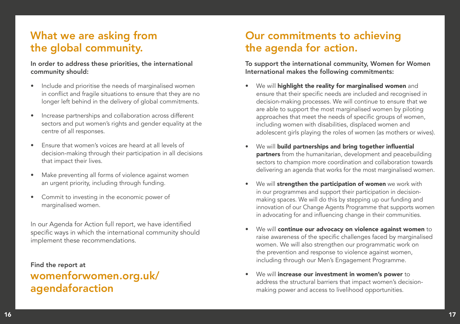## What we are asking from the global community.

### In order to address these priorities, the international community should:

- Include and prioritise the needs of marginalised women in conflict and fragile situations to ensure that they are no longer left behind in the delivery of global commitments.
- Increase partnerships and collaboration across different sectors and put women's rights and gender equality at the centre of all responses.
- Ensure that women's voices are heard at all levels of decision-making through their participation in all decisions that impact their lives.
- Make preventing all forms of violence against women an urgent priority, including through funding.
- Commit to investing in the economic power of marginalised women.

In our Agenda for Action full report, we have identified specific ways in which the international community should implement these recommendations.

Find the report at [womenforwomen.org.uk/](http://womenforwomen.org.uk/agendaforaction
) [agendaforaction](http://womenforwomen.org.uk/agendaforaction
)

## Our commitments to achieving the agenda for action.

To support the international community, Women for Women International makes the following commitments:

- We will highlight the reality for marginalised women and ensure that their specific needs are included and recognised in decision-making processes. We will continue to ensure that we are able to support the most marginalised women by piloting approaches that meet the needs of specific groups of women, including women with disabilities, displaced women and adolescent girls playing the roles of women (as mothers or wives).
- We will build partnerships and bring together influential partners from the humanitarian, development and peacebuilding sectors to champion more coordination and collaboration towards delivering an agenda that works for the most marginalised women.
- We will strengthen the participation of women we work with in our programmes and support their participation in decisionmaking spaces. We will do this by stepping up our funding and innovation of our Change Agents Programme that supports women in advocating for and influencing change in their communities.
- We will continue our advocacy on violence against women to raise awareness of the specific challenges faced by marginalised women. We will also strengthen our programmatic work on the prevention and response to violence against women, including through our Men's Engagement Programme.
- We will increase our investment in women's power to address the structural barriers that impact women's decisionmaking power and access to livelihood opportunities.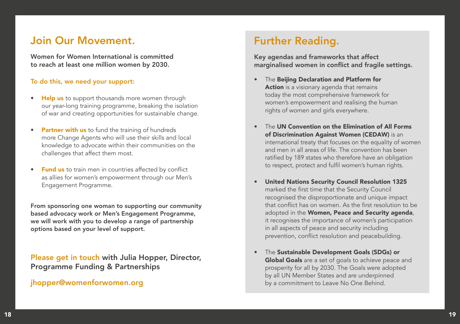## Join Our Movement.

Women for Women International is committed to reach at least one million women by 2030.

### To do this, we need your support:

- Help us to support thousands more women through our year-long training programme, breaking the isolation of war and creating opportunities for sustainable change.
- Partner with us to fund the training of hundreds more Change Agents who will use their skills and local knowledge to advocate within their communities on the challenges that affect them most.
- **Fund us** to train men in countries affected by conflict as allies for women's empowerment through our Men's Engagement Programme.

From sponsoring one woman to supporting our community based advocacy work or Men's Engagement Programme, we will work with you to develop a range of partnership options based on your level of support.

Please get in touch with Julia Hopper, Director, Programme Funding & Partnerships

## [jhopper@womenforwomen.org](mailto:jhopper@womenforwomen.org)

## Further Reading.

Key agendas and frameworks that affect marginalised women in conflict and fragile settings.

- The Beijing Declaration and Platform for Action is a visionary agenda that remains today the most comprehensive framework for women's empowerment and realising the human rights of women and girls everywhere.
- The UN Convention on the Elimination of All Forms of Discrimination Against Women (CEDAW) is an international treaty that focuses on the equality of women and men in all areas of life. The convention has been ratified by 189 states who therefore have an obligation to respect, protect and fulfil women's human rights.
- United Nations Security Council Resolution 1325 marked the first time that the Security Council recognised the disproportionate and unique impact that conflict has on women. As the first resolution to be adopted in the Women, Peace and Security agenda, it recognises the importance of women's participation in all aspects of peace and security including prevention, conflict resolution and peacebuilding.
- The Sustainable Development Goals (SDGs) or Global Goals are a set of goals to achieve peace and prosperity for all by 2030. The Goals were adopted by all UN Member States and are underpinned by a commitment to Leave No One Behind.